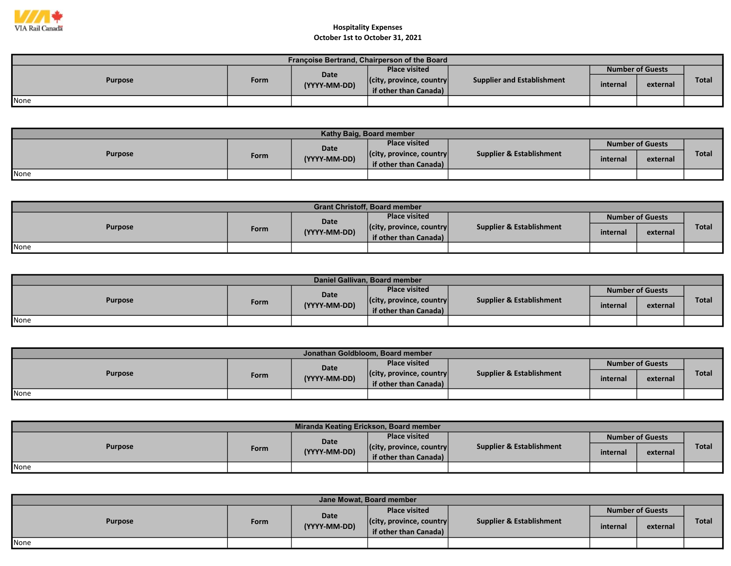

| Françoise Bertrand, Chairperson of the Board |      |                      |                                  |                            |                         |          |       |  |  |  |
|----------------------------------------------|------|----------------------|----------------------------------|----------------------------|-------------------------|----------|-------|--|--|--|
| <b>Purpose</b>                               | Form | Date<br>(YYYY-MM-DD) | <b>Place visited</b>             |                            | <b>Number of Guests</b> |          |       |  |  |  |
|                                              |      |                      | $ $ (city, province, country $ $ | Supplier and Establishment | internal                | external | Total |  |  |  |
|                                              |      |                      | if other than Canada)            |                            |                         |          |       |  |  |  |
| None                                         |      |                      |                                  |                            |                         |          |       |  |  |  |

| Kathy Baig, Board member |      |              |                                  |                                     |          |                         |              |  |  |  |
|--------------------------|------|--------------|----------------------------------|-------------------------------------|----------|-------------------------|--------------|--|--|--|
| <b>Purpose</b>           |      | <b>Date</b>  | <b>Place visited</b>             |                                     |          | <b>Number of Guests</b> |              |  |  |  |
|                          | Form | (YYYY-MM-DD) | $ $ (city, province, country $ $ | <b>Supplier &amp; Establishment</b> | internal | external                | <b>Total</b> |  |  |  |
|                          |      |              | if other than Canada)            |                                     |          |                         |              |  |  |  |
| None                     |      |              |                                  |                                     |          |                         |              |  |  |  |

| <b>Grant Christoff, Board member</b> |      |              |                                  |                                     |                         |          |       |  |  |  |
|--------------------------------------|------|--------------|----------------------------------|-------------------------------------|-------------------------|----------|-------|--|--|--|
| <b>Purpose</b>                       |      | Date         | <b>Place visited</b>             | <b>Supplier &amp; Establishment</b> | <b>Number of Guests</b> |          |       |  |  |  |
|                                      | Form | (YYYY-MM-DD) | $ $ (city, province, country $ $ |                                     | internal                | external | Total |  |  |  |
|                                      |      |              | if other than Canada) $\vert$    |                                     |                         |          |       |  |  |  |
| None                                 |      |              |                                  |                                     |                         |          |       |  |  |  |

| Daniel Gallivan, Board member |      |              |                                  |                                     |                         |          |       |  |  |  |
|-------------------------------|------|--------------|----------------------------------|-------------------------------------|-------------------------|----------|-------|--|--|--|
| <b>Purpose</b>                |      | Date         | <b>Place visited</b>             | <b>Supplier &amp; Establishment</b> | <b>Number of Guests</b> |          |       |  |  |  |
|                               | Form | (YYYY-MM-DD) | $ $ (city, province, country $ $ |                                     | internal                | external | Total |  |  |  |
|                               |      |              | if other than Canada)            |                                     |                         |          |       |  |  |  |
| None                          |      |              |                                  |                                     |                         |          |       |  |  |  |

| Jonathan Goldbloom, Board member |      |              |                                  |                          |                         |          |              |  |  |  |
|----------------------------------|------|--------------|----------------------------------|--------------------------|-------------------------|----------|--------------|--|--|--|
| <b>Purpose</b>                   |      | Date         | <b>Place visited</b>             | Supplier & Establishment | <b>Number of Guests</b> |          |              |  |  |  |
|                                  | Form | (YYYY-MM-DD) | $ $ (city, province, country $ $ |                          | internal                | external | <b>Total</b> |  |  |  |
|                                  |      |              | if other than Canada)            |                          |                         |          |              |  |  |  |
| <b>I</b> None                    |      |              |                                  |                          |                         |          |              |  |  |  |

| Miranda Keating Erickson, Board member |      |              |                                  |                                     |          |                         |              |  |  |  |
|----------------------------------------|------|--------------|----------------------------------|-------------------------------------|----------|-------------------------|--------------|--|--|--|
| <b>Purpose</b>                         |      | Date         | <b>Place visited</b>             |                                     |          | <b>Number of Guests</b> |              |  |  |  |
|                                        | Form | (YYYY-MM-DD) | $ $ (city, province, country $ $ | <b>Supplier &amp; Establishment</b> | internal | external                | <b>Total</b> |  |  |  |
|                                        |      |              | if other than Canada) $\vert$    |                                     |          |                         |              |  |  |  |
| <b>None</b>                            |      |              |                                  |                                     |          |                         |              |  |  |  |

| Jane Mowat, Board member |      |                      |                                                           |                          |                         |          |              |  |  |  |
|--------------------------|------|----------------------|-----------------------------------------------------------|--------------------------|-------------------------|----------|--------------|--|--|--|
| <b>Purpose</b>           |      | Date<br>(YYYY-MM-DD) | <b>Place visited</b>                                      |                          | <b>Number of Guests</b> |          |              |  |  |  |
|                          | Form |                      | $ $ (city, province, country $ $<br>if other than Canada) | Supplier & Establishment | internal                | external | <b>Total</b> |  |  |  |
| None                     |      |                      |                                                           |                          |                         |          |              |  |  |  |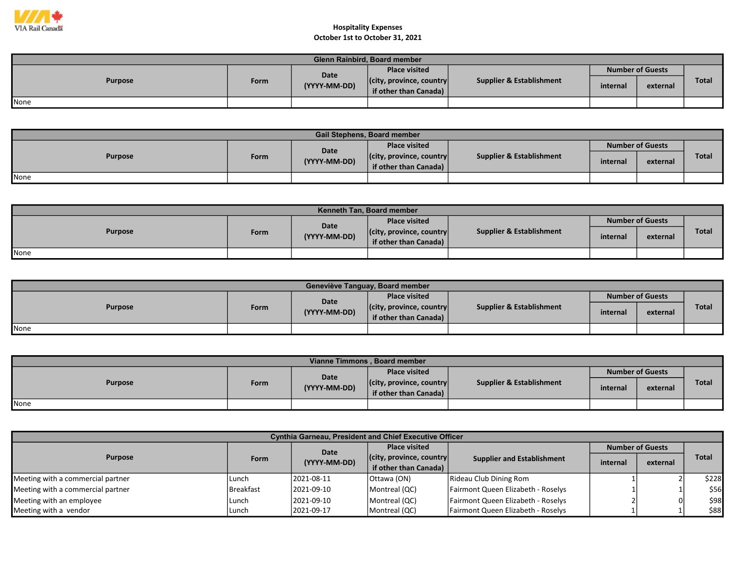

| <b>Glenn Rainbird, Board member</b> |             |              |                                  |                                     |          |                         |       |  |  |  |
|-------------------------------------|-------------|--------------|----------------------------------|-------------------------------------|----------|-------------------------|-------|--|--|--|
| <b>Purpose</b>                      | <b>Form</b> | Date         | <b>Place visited</b>             |                                     |          | <b>Number of Guests</b> |       |  |  |  |
|                                     |             | (YYYY-MM-DD) | $ $ (city, province, country $ $ | <b>Supplier &amp; Establishment</b> | internal | external                | Total |  |  |  |
|                                     |             |              | if other than Canada)            |                                     |          |                         |       |  |  |  |
| None                                |             |              |                                  |                                     |          |                         |       |  |  |  |

| <b>Gail Stephens, Board member</b> |      |              |                                  |                                     |                         |          |              |  |  |  |
|------------------------------------|------|--------------|----------------------------------|-------------------------------------|-------------------------|----------|--------------|--|--|--|
| <b>Purpose</b>                     |      | Date         | <b>Place visited</b>             |                                     | <b>Number of Guests</b> |          |              |  |  |  |
|                                    | Form | (YYYY-MM-DD) | $ $ (city, province, country $ $ | <b>Supplier &amp; Establishment</b> | internal                | external | <b>Total</b> |  |  |  |
|                                    |      |              | if other than Canada) $\vert$    |                                     |                         |          |              |  |  |  |
| None                               |      |              |                                  |                                     |                         |          |              |  |  |  |

| Kenneth Tan, Board member |      |              |                                  |                          |                         |          |              |  |  |
|---------------------------|------|--------------|----------------------------------|--------------------------|-------------------------|----------|--------------|--|--|
| <b>Purpose</b>            |      | <b>Date</b>  | <b>Place visited</b>             | Supplier & Establishment | <b>Number of Guests</b> |          |              |  |  |
|                           | Form | (YYYY-MM-DD) | $ $ (city, province, country $ $ |                          | internal                | external | <b>Total</b> |  |  |
|                           |      |              | if other than Canada)            |                          |                         |          |              |  |  |
| None                      |      |              |                                  |                          |                         |          |              |  |  |

| Geneviève Tanguay, Board member |      |                      |                                                           |                                     |                         |          |              |  |  |  |
|---------------------------------|------|----------------------|-----------------------------------------------------------|-------------------------------------|-------------------------|----------|--------------|--|--|--|
| <b>Purpose</b>                  |      | Date<br>(YYYY-MM-DD) | <b>Place visited</b>                                      |                                     | <b>Number of Guests</b> |          |              |  |  |  |
|                                 | Form |                      | $ $ (city, province, country $ $<br>if other than Canada) | <b>Supplier &amp; Establishment</b> | internal                | external | <b>Total</b> |  |  |  |
| None                            |      |                      |                                                           |                                     |                         |          |              |  |  |  |

| Vianne Timmons, Board member |      |              |                                  |                          |          |                         |              |  |  |  |
|------------------------------|------|--------------|----------------------------------|--------------------------|----------|-------------------------|--------------|--|--|--|
| <b>Purpose</b>               |      | Date         | <b>Place visited</b>             |                          |          | <b>Number of Guests</b> |              |  |  |  |
|                              | Form | (YYYY-MM-DD) | $ $ (city, province, country $ $ | Supplier & Establishment | internal | external                | <b>Total</b> |  |  |  |
|                              |      |              | if other than Canada)            |                          |          |                         |              |  |  |  |
| <b>I</b> None                |      |              |                                  |                          |          |                         |              |  |  |  |

| <b>Cynthia Garneau, President and Chief Executive Officer</b> |           |              |                                  |                                    |          |                         |              |  |  |  |
|---------------------------------------------------------------|-----------|--------------|----------------------------------|------------------------------------|----------|-------------------------|--------------|--|--|--|
| <b>Purpose</b>                                                |           | Date         | <b>Place visited</b>             |                                    |          | <b>Number of Guests</b> |              |  |  |  |
|                                                               | Form      | (YYYY-MM-DD) | $ $ (city, province, country $ $ | <b>Supplier and Establishment</b>  |          |                         | <b>Total</b> |  |  |  |
|                                                               |           |              | if other than Canada)            |                                    | internal | external                |              |  |  |  |
| Meeting with a commercial partner                             | l Lunch   | 2021-08-11   | Ottawa (ON)                      | Rideau Club Dining Rom             |          |                         | \$228        |  |  |  |
| Meeting with a commercial partner                             | Breakfast | 2021-09-10   | Montreal (QC)                    | Fairmont Queen Elizabeth - Roselys |          |                         | \$56         |  |  |  |
| Meeting with an employee                                      | Lunch     | 2021-09-10   | Montreal (QC)                    | Fairmont Queen Elizabeth - Roselys |          |                         | \$98         |  |  |  |
| Meeting with a vendor                                         | l Lunch   | 2021-09-17   | Montreal (QC)                    | Fairmont Queen Elizabeth - Roselys |          |                         | \$88         |  |  |  |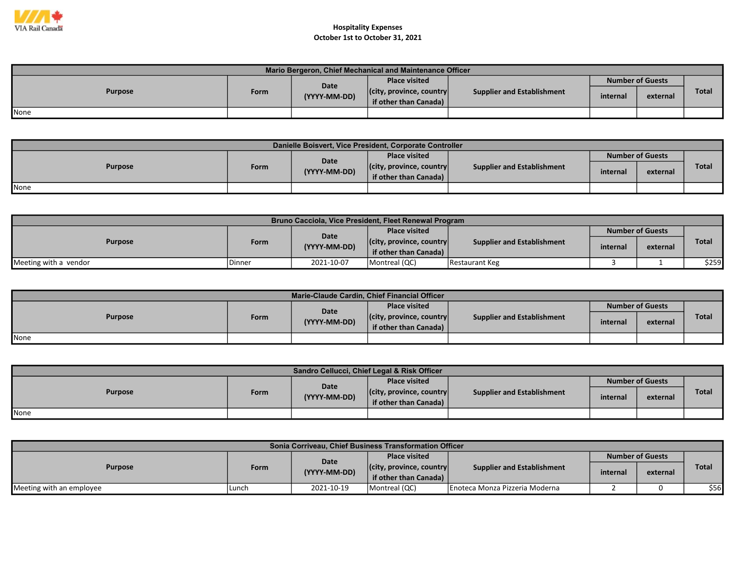

| Mario Bergeron, Chief Mechanical and Maintenance Officer |      |              |                                                           |                                   |                         |          |              |  |  |  |
|----------------------------------------------------------|------|--------------|-----------------------------------------------------------|-----------------------------------|-------------------------|----------|--------------|--|--|--|
|                                                          |      | <b>Date</b>  | <b>Place visited</b>                                      |                                   | <b>Number of Guests</b> |          |              |  |  |  |
| <b>Purpose</b>                                           | Form | (YYYY-MM-DD) | $ $ (city, province, country $ $<br>if other than Canada) | <b>Supplier and Establishment</b> | internal                | external | <b>Total</b> |  |  |  |
| <b>I</b> None                                            |      |              |                                                           |                                   |                         |          |              |  |  |  |

| Danielle Boisvert, Vice President, Corporate Controller |      |              |                                                           |                                   |          |                         |              |  |  |  |  |
|---------------------------------------------------------|------|--------------|-----------------------------------------------------------|-----------------------------------|----------|-------------------------|--------------|--|--|--|--|
| <b>Purpose</b>                                          |      | Date         | <b>Place visited</b>                                      |                                   |          | <b>Number of Guests</b> |              |  |  |  |  |
|                                                         | Form | (YYYY-MM-DD) | $ $ (city, province, country $ $<br>if other than Canada) | <b>Supplier and Establishment</b> | internal | external                | <b>Total</b> |  |  |  |  |
| <b>I</b> None                                           |      |              |                                                           |                                   |          |                         |              |  |  |  |  |

| Bruno Cacciola, Vice President, Fleet Renewal Program |        |              |                                  |                            |                         |          |       |  |  |  |
|-------------------------------------------------------|--------|--------------|----------------------------------|----------------------------|-------------------------|----------|-------|--|--|--|
| <b>Purpose</b>                                        |        | <b>Date</b>  | <b>Place visited</b>             |                            | <b>Number of Guests</b> |          |       |  |  |  |
|                                                       | Form   | (YYYY-MM-DD) | $ $ (city, province, country $ $ | Supplier and Establishment | internal                |          | Total |  |  |  |
|                                                       |        |              | if other than Canada)            |                            |                         | external |       |  |  |  |
| Meeting with a vendor                                 | Dinner | 2021-10-07   | Montreal (QC)                    | <b>IRestaurant Keg</b>     |                         |          | \$259 |  |  |  |

| Marie-Claude Cardin, Chief Financial Officer |      |              |                                  |                                   |          |                         |              |  |  |  |  |
|----------------------------------------------|------|--------------|----------------------------------|-----------------------------------|----------|-------------------------|--------------|--|--|--|--|
| <b>Purpose</b>                               |      | Date         | <b>Place visited</b>             |                                   |          | <b>Number of Guests</b> |              |  |  |  |  |
|                                              | Form | (YYYY-MM-DD) | $ $ (city, province, country $ $ | <b>Supplier and Establishment</b> | internal | external                | <b>Total</b> |  |  |  |  |
|                                              |      |              | if other than Canada)            |                                   |          |                         |              |  |  |  |  |
| None                                         |      |              |                                  |                                   |          |                         |              |  |  |  |  |

| Sandro Cellucci, Chief Legal & Risk Officer |      |              |                                  |                                   |          |                         |       |  |  |  |  |
|---------------------------------------------|------|--------------|----------------------------------|-----------------------------------|----------|-------------------------|-------|--|--|--|--|
| <b>Purpose</b>                              |      | Date         | <b>Place visited</b>             |                                   |          | <b>Number of Guests</b> |       |  |  |  |  |
|                                             | Form | (YYYY-MM-DD) | $ $ (city, province, country $ $ | <b>Supplier and Establishment</b> | internal | external                | Total |  |  |  |  |
|                                             |      |              | if other than Canada)            |                                   |          |                         |       |  |  |  |  |
| <b>None</b>                                 |      |              |                                  |                                   |          |                         |       |  |  |  |  |

| Sonia Corriveau, Chief Business Transformation Officer |       |              |                                  |                                |                         |          |              |  |  |  |  |
|--------------------------------------------------------|-------|--------------|----------------------------------|--------------------------------|-------------------------|----------|--------------|--|--|--|--|
| <b>Purpose</b>                                         |       | Date         | <b>Place visited</b>             |                                | <b>Number of Guests</b> |          |              |  |  |  |  |
|                                                        | Form  | (YYYY-MM-DD) | $ $ (city, province, country $ $ | Supplier and Establishment     | internal                | external | <b>Total</b> |  |  |  |  |
|                                                        |       |              | if other than Canada)            |                                |                         |          |              |  |  |  |  |
| Meeting with an employee                               | Lunch | 2021-10-19   | Montreal (QC)                    | Enoteca Monza Pizzeria Moderna |                         |          | \$56         |  |  |  |  |